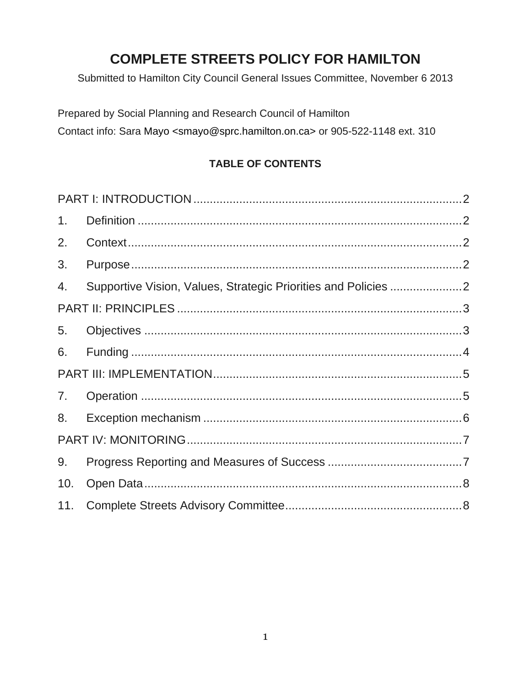# **COMPLETE STREETS POLICY FOR HAMILTON**

Submitted to Hamilton City Council General Issues Committee, November 6 2013

Prepared by Social Planning and Research Council of Hamilton Contact info: Sara Mayo <smayo@sprc.hamilton.on.ca> or 905-522-1148 ext. 310

# **TABLE OF CONTENTS**

| 1 <sub>1</sub> |  |  |
|----------------|--|--|
| 2.             |  |  |
| 3.             |  |  |
| 4.             |  |  |
|                |  |  |
| 5.             |  |  |
| 6.             |  |  |
|                |  |  |
| 7.             |  |  |
| 8.             |  |  |
|                |  |  |
| 9.             |  |  |
| 10.            |  |  |
| 11.            |  |  |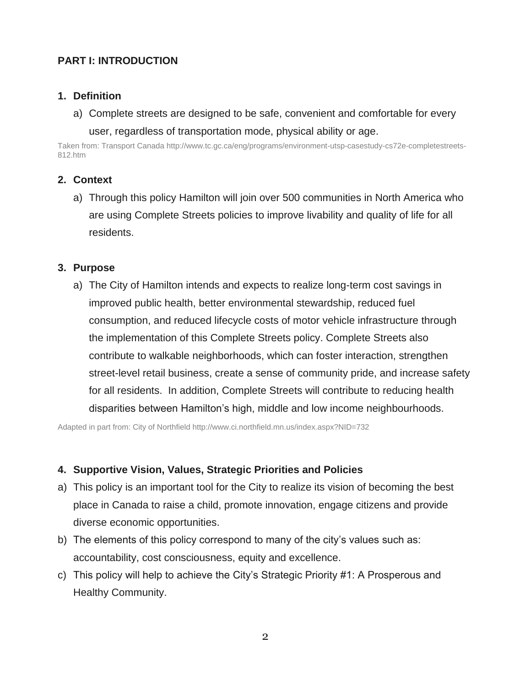# <span id="page-1-0"></span>**PART I: INTRODUCTION**

## <span id="page-1-1"></span>**1. Definition**

a) Complete streets are designed to be safe, convenient and comfortable for every user, regardless of transportation mode, physical ability or age.

Taken from: Transport Canada http://www.tc.gc.ca/eng/programs/environment-utsp-casestudy-cs72e-completestreets-812.htm

## <span id="page-1-2"></span>**2. Context**

a) Through this policy Hamilton will join over 500 communities in North America who are using Complete Streets policies to improve livability and quality of life for all residents.

### <span id="page-1-3"></span>**3. Purpose**

a) The City of Hamilton intends and expects to realize long-term cost savings in improved public health, better environmental stewardship, reduced fuel consumption, and reduced lifecycle costs of motor vehicle infrastructure through the implementation of this Complete Streets policy. Complete Streets also contribute to walkable neighborhoods, which can foster interaction, strengthen street-level retail business, create a sense of community pride, and increase safety for all residents. In addition, Complete Streets will contribute to reducing health disparities between Hamilton's high, middle and low income neighbourhoods.

Adapted in part from: City of Northfield<http://www.ci.northfield.mn.us/index.aspx?NID=732>

### <span id="page-1-4"></span>**4. Supportive Vision, Values, Strategic Priorities and Policies**

- a) This policy is an important tool for the City to realize its vision of becoming the best place in Canada to raise a child, promote innovation, engage citizens and provide diverse economic opportunities.
- b) The elements of this policy correspond to many of the city's values such as: accountability, cost consciousness, equity and excellence.
- c) This policy will help to achieve the City's Strategic Priority #1: A Prosperous and Healthy Community.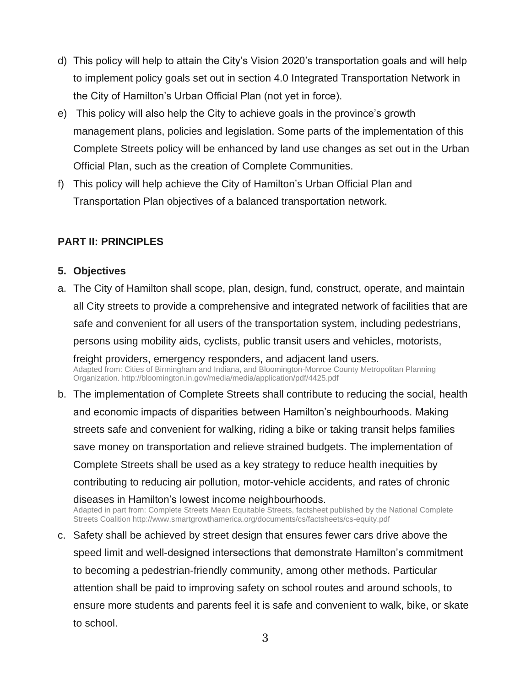- d) This policy will help to attain the City's Vision 2020's transportation goals and will help to implement policy goals set out in section 4.0 Integrated Transportation Network in the City of Hamilton's Urban Official Plan (not yet in force).
- e) This policy will also help the City to achieve goals in the province's growth management plans, policies and legislation. Some parts of the implementation of this Complete Streets policy will be enhanced by land use changes as set out in the Urban Official Plan, such as the creation of Complete Communities.
- f) This policy will help achieve the City of Hamilton's Urban Official Plan and Transportation Plan objectives of a balanced transportation network.

## <span id="page-2-0"></span>**PART II: PRINCIPLES**

### <span id="page-2-1"></span>**5. Objectives**

- a. The City of Hamilton shall scope, plan, design, fund, construct, operate, and maintain all City streets to provide a comprehensive and integrated network of facilities that are safe and convenient for all users of the transportation system, including pedestrians, persons using mobility aids, cyclists, public transit users and vehicles, motorists, freight providers, emergency responders, and adjacent land users. Adapted from: Cities of Birmingham and Indiana, and Bloomington-Monroe County Metropolitan Planning Organization[. http://bloomington.in.gov/media/media/application/pdf/4425.pdf](http://bloomington.in.gov/media/media/application/pdf/4425.pdf) b. The implementation of Complete Streets shall contribute to reducing the social, health
- and economic impacts of disparities between Hamilton's neighbourhoods. Making streets safe and convenient for walking, riding a bike or taking transit helps families save money on transportation and relieve strained budgets. The implementation of Complete Streets shall be used as a key strategy to reduce health inequities by contributing to reducing air pollution, motor-vehicle accidents, and rates of chronic diseases in Hamilton's lowest income neighbourhoods. Adapted in part from: Complete Streets Mean Equitable Streets, factsheet published by the National Complete Streets Coalition http://www.smartgrowthamerica.org/documents/cs/factsheets/cs-equity.pdf
- c. Safety shall be achieved by street design that ensures fewer cars drive above the speed limit and well-designed intersections that demonstrate Hamilton's commitment to becoming a pedestrian-friendly community, among other methods. Particular attention shall be paid to improving safety on school routes and around schools, to ensure more students and parents feel it is safe and convenient to walk, bike, or skate to school.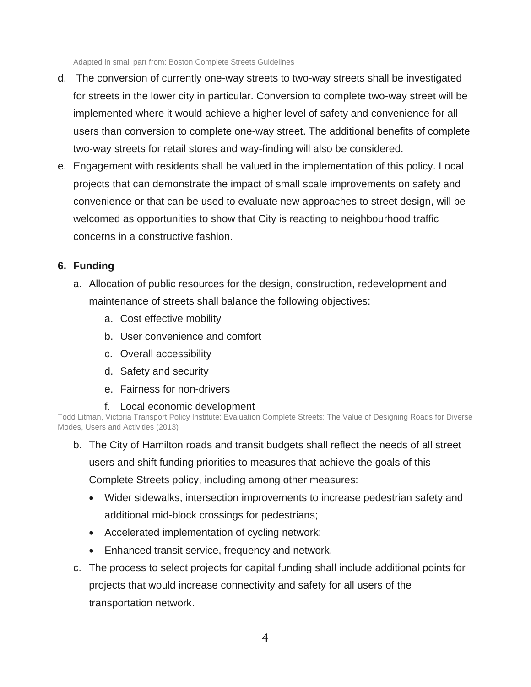Adapted in small part from: Boston Complete Streets Guidelines

- d. The conversion of currently one-way streets to two-way streets shall be investigated for streets in the lower city in particular. Conversion to complete two-way street will be implemented where it would achieve a higher level of safety and convenience for all users than conversion to complete one-way street. The additional benefits of complete two-way streets for retail stores and way-finding will also be considered.
- e. Engagement with residents shall be valued in the implementation of this policy. Local projects that can demonstrate the impact of small scale improvements on safety and convenience or that can be used to evaluate new approaches to street design, will be welcomed as opportunities to show that City is reacting to neighbourhood traffic concerns in a constructive fashion.

## <span id="page-3-0"></span>**6. Funding**

- a. Allocation of public resources for the design, construction, redevelopment and maintenance of streets shall balance the following objectives:
	- a. Cost effective mobility
	- b. User convenience and comfort
	- c. Overall accessibility
	- d. Safety and security
	- e. Fairness for non-drivers
	- f. Local economic development

Todd Litman, Victoria Transport Policy Institute: Evaluation Complete Streets: The Value of Designing Roads for Diverse Modes, Users and Activities (2013)

b. The City of Hamilton roads and transit budgets shall reflect the needs of all street users and shift funding priorities to measures that achieve the goals of this

Complete Streets policy, including among other measures:

- Wider sidewalks, intersection improvements to increase pedestrian safety and additional mid-block crossings for pedestrians;
- Accelerated implementation of cycling network;
- Enhanced transit service, frequency and network.
- c. The process to select projects for capital funding shall include additional points for projects that would increase connectivity and safety for all users of the transportation network.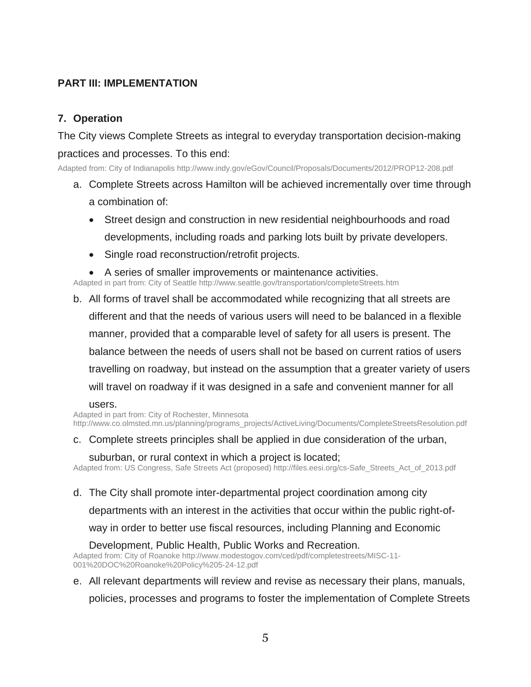# <span id="page-4-0"></span>**PART III: IMPLEMENTATION**

## <span id="page-4-1"></span>**7. Operation**

The City views Complete Streets as integral to everyday transportation decision-making practices and processes. To this end:

Adapted from: City of Indianapolis http://www.indy.gov/eGov/Council/Proposals/Documents/2012/PROP12-208.pdf

- a. Complete Streets across Hamilton will be achieved incrementally over time through a combination of:
	- Street design and construction in new residential neighbourhoods and road developments, including roads and parking lots built by private developers.
	- Single road reconstruction/retrofit projects.
	- A series of smaller improvements or maintenance activities.

Adapted in part from: City of Seattle http://www.seattle.gov/transportation/completeStreets.htm

b. All forms of travel shall be accommodated while recognizing that all streets are different and that the needs of various users will need to be balanced in a flexible manner, provided that a comparable level of safety for all users is present. The balance between the needs of users shall not be based on current ratios of users travelling on roadway, but instead on the assumption that a greater variety of users will travel on roadway if it was designed in a safe and convenient manner for all

#### users.

Adapted in part from: City of Rochester, Minnesota http://www.co.olmsted.mn.us/planning/programs\_projects/ActiveLiving/Documents/CompleteStreetsResolution.pdf

c. Complete streets principles shall be applied in due consideration of the urban,

suburban, or rural context in which a project is located;

Adapted from: US Congress, Safe Streets Act (proposed) http://files.eesi.org/cs-Safe\_Streets\_Act\_of\_2013.pdf

d. The City shall promote inter-departmental project coordination among city

departments with an interest in the activities that occur within the public right-of-

way in order to better use fiscal resources, including Planning and Economic

Development, Public Health, Public Works and Recreation.

Adapted from: City of Roanoke http://www.modestogov.com/ced/pdf/completestreets/MISC-11- 001%20DOC%20Roanoke%20Policy%205-24-12.pdf

e. All relevant departments will review and revise as necessary their plans, manuals,

policies, processes and programs to foster the implementation of Complete Streets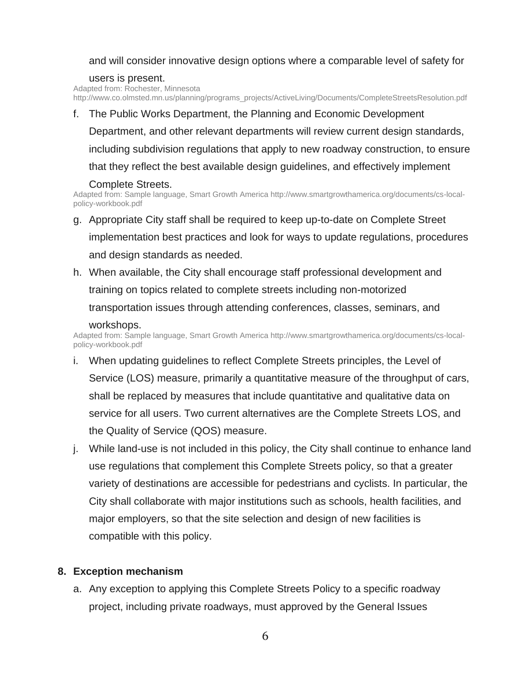### and will consider innovative design options where a comparable level of safety for

#### users is present.

Adapted from: Rochester, Minnesota http://www.co.olmsted.mn.us/planning/programs\_projects/ActiveLiving/Documents/CompleteStreetsResolution.pdf

#### f. The Public Works Department, the Planning and Economic Development

Department, and other relevant departments will review current design standards, including subdivision regulations that apply to new roadway construction, to ensure that they reflect the best available design guidelines, and effectively implement

#### Complete Streets.

Adapted from: Sample language, Smart Growth America http://www.smartgrowthamerica.org/documents/cs-localpolicy-workbook.pdf

- g. Appropriate City staff shall be required to keep up-to-date on Complete Street implementation best practices and look for ways to update regulations, procedures and design standards as needed.
- h. When available, the City shall encourage staff professional development and training on topics related to complete streets including non-motorized transportation issues through attending conferences, classes, seminars, and workshops.

#### Adapted from: Sample language, Smart Growth America http://www.smartgrowthamerica.org/documents/cs-localpolicy-workbook.pdf

- i. When updating guidelines to reflect Complete Streets principles, the Level of Service (LOS) measure, primarily a quantitative measure of the throughput of cars, shall be replaced by measures that include quantitative and qualitative data on service for all users. Two current alternatives are the Complete Streets LOS, and the Quality of Service (QOS) measure.
- j. While land-use is not included in this policy, the City shall continue to enhance land use regulations that complement this Complete Streets policy, so that a greater variety of destinations are accessible for pedestrians and cyclists. In particular, the City shall collaborate with major institutions such as schools, health facilities, and major employers, so that the site selection and design of new facilities is compatible with this policy.

## <span id="page-5-0"></span>**8. Exception mechanism**

a. Any exception to applying this Complete Streets Policy to a specific roadway project, including private roadways, must approved by the General Issues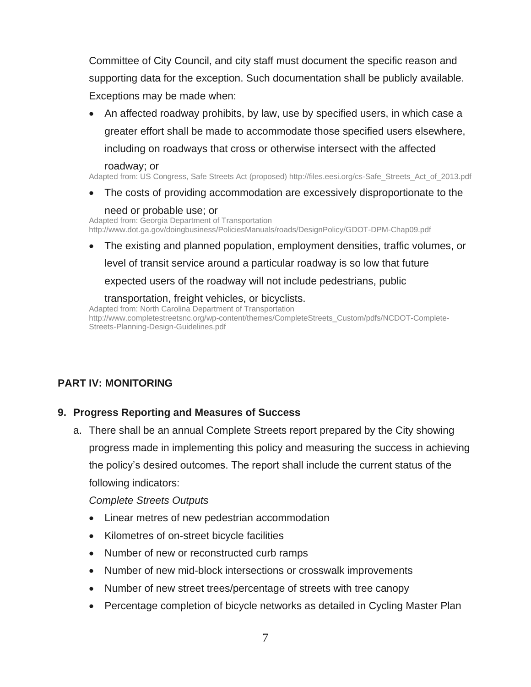Committee of City Council, and city staff must document the specific reason and supporting data for the exception. Such documentation shall be publicly available. Exceptions may be made when:

 An affected roadway prohibits, by law, use by specified users, in which case a greater effort shall be made to accommodate those specified users elsewhere, including on roadways that cross or otherwise intersect with the affected

#### roadway; or

Adapted from: US Congress, Safe Streets Act (proposed) http://files.eesi.org/cs-Safe\_Streets\_Act\_of\_2013.pdf

The costs of providing accommodation are excessively disproportionate to the

#### need or probable use; or

Adapted from: Georgia Department of Transportation http://www.dot.ga.gov/doingbusiness/PoliciesManuals/roads/DesignPolicy/GDOT-DPM-Chap09.pdf

 The existing and planned population, employment densities, traffic volumes, or level of transit service around a particular roadway is so low that future expected users of the roadway will not include pedestrians, public

transportation, freight vehicles, or bicyclists. Adapted from: North Carolina Department of Transportation http://www.completestreetsnc.org/wp-content/themes/CompleteStreets\_Custom/pdfs/NCDOT-Complete-Streets-Planning-Design-Guidelines.pdf

# <span id="page-6-0"></span>**PART IV: MONITORING**

### <span id="page-6-1"></span>**9. Progress Reporting and Measures of Success**

a. There shall be an annual Complete Streets report prepared by the City showing progress made in implementing this policy and measuring the success in achieving the policy's desired outcomes. The report shall include the current status of the following indicators:

*Complete Streets Outputs*

- Linear metres of new pedestrian accommodation
- Kilometres of on-street bicycle facilities
- Number of new or reconstructed curb ramps
- Number of new mid-block intersections or crosswalk improvements
- Number of new street trees/percentage of streets with tree canopy
- Percentage completion of bicycle networks as detailed in Cycling Master Plan